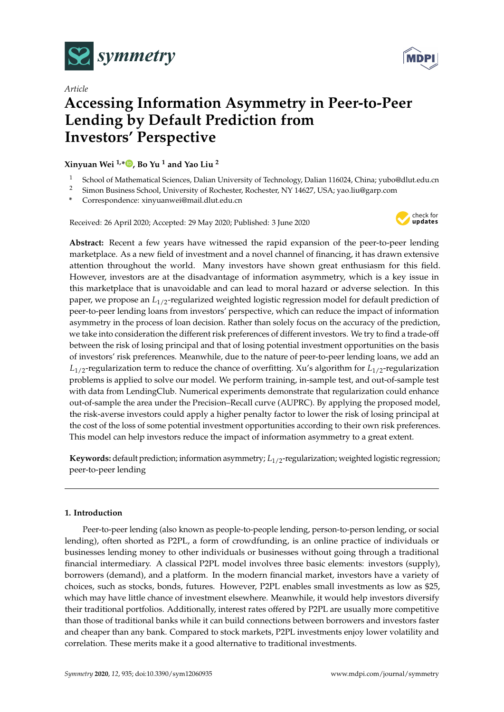



# *Article* **Accessing Information Asymmetry in Peer-to-Peer Lending by Default Prediction from Investors' Perspective**

**Xinyuan Wei 1,[\\*](https://orcid.org/0000-0002-8112-080X) , Bo Yu <sup>1</sup> and Yao Liu <sup>2</sup>**

- <sup>1</sup> School of Mathematical Sciences, Dalian University of Technology, Dalian 116024, China; yubo@dlut.edu.cn<br><sup>2</sup> Simon Business School University of Rechector Rechector NY 14627 USA: yao liu@garn.com
- <sup>2</sup> Simon Business School, University of Rochester, Rochester, NY 14627, USA; yao.liu@garp.com
- **\*** Correspondence: xinyuanwei@mail.dlut.edu.cn

Received: 26 April 2020; Accepted: 29 May 2020; Published: 3 June 2020



**Abstract:** Recent a few years have witnessed the rapid expansion of the peer-to-peer lending marketplace. As a new field of investment and a novel channel of financing, it has drawn extensive attention throughout the world. Many investors have shown great enthusiasm for this field. However, investors are at the disadvantage of information asymmetry, which is a key issue in this marketplace that is unavoidable and can lead to moral hazard or adverse selection. In this paper, we propose an *L*1/2-regularized weighted logistic regression model for default prediction of peer-to-peer lending loans from investors' perspective, which can reduce the impact of information asymmetry in the process of loan decision. Rather than solely focus on the accuracy of the prediction, we take into consideration the different risk preferences of different investors. We try to find a trade-off between the risk of losing principal and that of losing potential investment opportunities on the basis of investors' risk preferences. Meanwhile, due to the nature of peer-to-peer lending loans, we add an  $L_{1/2}$ -regularization term to reduce the chance of overfitting. Xu's algorithm for  $L_{1/2}$ -regularization problems is applied to solve our model. We perform training, in-sample test, and out-of-sample test with data from LendingClub. Numerical experiments demonstrate that regularization could enhance out-of-sample the area under the Precision–Recall curve (AUPRC). By applying the proposed model, the risk-averse investors could apply a higher penalty factor to lower the risk of losing principal at the cost of the loss of some potential investment opportunities according to their own risk preferences. This model can help investors reduce the impact of information asymmetry to a great extent.

**Keywords:** default prediction; information asymmetry;  $L_{1/2}$ -regularization; weighted logistic regression; peer-to-peer lending

# **1. Introduction**

Peer-to-peer lending (also known as people-to-people lending, person-to-person lending, or social lending), often shorted as P2PL, a form of crowdfunding, is an online practice of individuals or businesses lending money to other individuals or businesses without going through a traditional financial intermediary. A classical P2PL model involves three basic elements: investors (supply), borrowers (demand), and a platform. In the modern financial market, investors have a variety of choices, such as stocks, bonds, futures. However, P2PL enables small investments as low as \$25, which may have little chance of investment elsewhere. Meanwhile, it would help investors diversify their traditional portfolios. Additionally, interest rates offered by P2PL are usually more competitive than those of traditional banks while it can build connections between borrowers and investors faster and cheaper than any bank. Compared to stock markets, P2PL investments enjoy lower volatility and correlation. These merits make it a good alternative to traditional investments.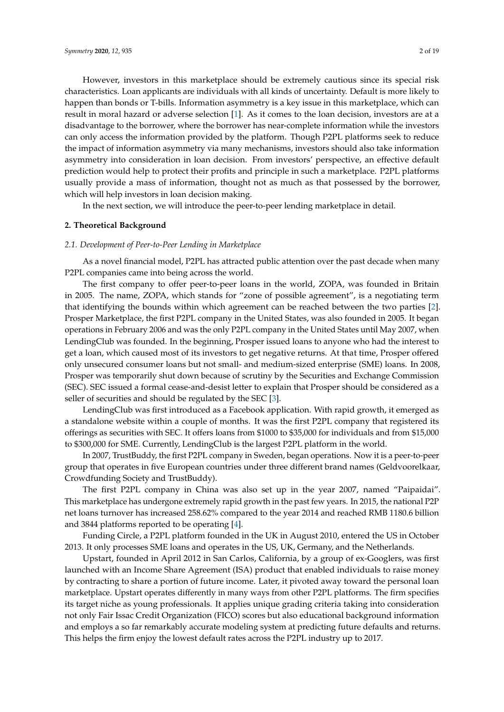However, investors in this marketplace should be extremely cautious since its special risk characteristics. Loan applicants are individuals with all kinds of uncertainty. Default is more likely to happen than bonds or T-bills. Information asymmetry is a key issue in this marketplace, which can result in moral hazard or adverse selection [\[1\]](#page-17-0). As it comes to the loan decision, investors are at a disadvantage to the borrower, where the borrower has near-complete information while the investors can only access the information provided by the platform. Though P2PL platforms seek to reduce the impact of information asymmetry via many mechanisms, investors should also take information asymmetry into consideration in loan decision. From investors' perspective, an effective default prediction would help to protect their profits and principle in such a marketplace. P2PL platforms usually provide a mass of information, thought not as much as that possessed by the borrower, which will help investors in loan decision making.

In the next section, we will introduce the peer-to-peer lending marketplace in detail.

# **2. Theoretical Background**

## *2.1. Development of Peer-to-Peer Lending in Marketplace*

As a novel financial model, P2PL has attracted public attention over the past decade when many P2PL companies came into being across the world.

The first company to offer peer-to-peer loans in the world, ZOPA, was founded in Britain in 2005. The name, ZOPA, which stands for "zone of possible agreement", is a negotiating term that identifying the bounds within which agreement can be reached between the two parties [\[2\]](#page-17-1). Prosper Marketplace, the first P2PL company in the United States, was also founded in 2005. It began operations in February 2006 and was the only P2PL company in the United States until May 2007, when LendingClub was founded. In the beginning, Prosper issued loans to anyone who had the interest to get a loan, which caused most of its investors to get negative returns. At that time, Prosper offered only unsecured consumer loans but not small- and medium-sized enterprise (SME) loans. In 2008, Prosper was temporarily shut down because of scrutiny by the Securities and Exchange Commission (SEC). SEC issued a formal cease-and-desist letter to explain that Prosper should be considered as a seller of securities and should be regulated by the SEC [\[3\]](#page-17-2).

LendingClub was first introduced as a Facebook application. With rapid growth, it emerged as a standalone website within a couple of months. It was the first P2PL company that registered its offerings as securities with SEC. It offers loans from \$1000 to \$35,000 for individuals and from \$15,000 to \$300,000 for SME. Currently, LendingClub is the largest P2PL platform in the world.

In 2007, TrustBuddy, the first P2PL company in Sweden, began operations. Now it is a peer-to-peer group that operates in five European countries under three different brand names (Geldvoorelkaar, Crowdfunding Society and TrustBuddy).

The first P2PL company in China was also set up in the year 2007, named "Paipaidai". This marketplace has undergone extremely rapid growth in the past few years. In 2015, the national P2P net loans turnover has increased 258.62% compared to the year 2014 and reached RMB 1180.6 billion and 3844 platforms reported to be operating [\[4\]](#page-17-3).

Funding Circle, a P2PL platform founded in the UK in August 2010, entered the US in October 2013. It only processes SME loans and operates in the US, UK, Germany, and the Netherlands.

Upstart, founded in April 2012 in San Carlos, California, by a group of ex-Googlers, was first launched with an Income Share Agreement (ISA) product that enabled individuals to raise money by contracting to share a portion of future income. Later, it pivoted away toward the personal loan marketplace. Upstart operates differently in many ways from other P2PL platforms. The firm specifies its target niche as young professionals. It applies unique grading criteria taking into consideration not only Fair Issac Credit Organization (FICO) scores but also educational background information and employs a so far remarkably accurate modeling system at predicting future defaults and returns. This helps the firm enjoy the lowest default rates across the P2PL industry up to 2017.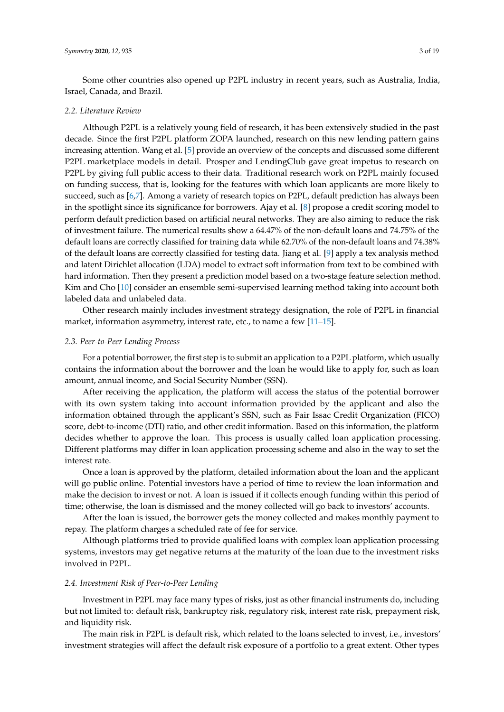Some other countries also opened up P2PL industry in recent years, such as Australia, India, Israel, Canada, and Brazil.

## *2.2. Literature Review*

Although P2PL is a relatively young field of research, it has been extensively studied in the past decade. Since the first P2PL platform ZOPA launched, research on this new lending pattern gains increasing attention. Wang et al. [\[5\]](#page-17-4) provide an overview of the concepts and discussed some different P2PL marketplace models in detail. Prosper and LendingClub gave great impetus to research on P2PL by giving full public access to their data. Traditional research work on P2PL mainly focused on funding success, that is, looking for the features with which loan applicants are more likely to succeed, such as [\[6](#page-17-5)[,7\]](#page-17-6). Among a variety of research topics on P2PL, default prediction has always been in the spotlight since its significance for borrowers. Ajay et al. [\[8\]](#page-17-7) propose a credit scoring model to perform default prediction based on artificial neural networks. They are also aiming to reduce the risk of investment failure. The numerical results show a 64.47% of the non-default loans and 74.75% of the default loans are correctly classified for training data while 62.70% of the non-default loans and 74.38% of the default loans are correctly classified for testing data. Jiang et al. [\[9\]](#page-17-8) apply a tex analysis method and latent Dirichlet allocation (LDA) model to extract soft information from text to be combined with hard information. Then they present a prediction model based on a two-stage feature selection method. Kim and Cho [\[10\]](#page-17-9) consider an ensemble semi-supervised learning method taking into account both labeled data and unlabeled data.

Other research mainly includes investment strategy designation, the role of P2PL in financial market, information asymmetry, interest rate, etc., to name a few [\[11](#page-17-10)[–15\]](#page-17-11).

#### *2.3. Peer-to-Peer Lending Process*

For a potential borrower, the first step is to submit an application to a P2PL platform, which usually contains the information about the borrower and the loan he would like to apply for, such as loan amount, annual income, and Social Security Number (SSN).

After receiving the application, the platform will access the status of the potential borrower with its own system taking into account information provided by the applicant and also the information obtained through the applicant's SSN, such as Fair Issac Credit Organization (FICO) score, debt-to-income (DTI) ratio, and other credit information. Based on this information, the platform decides whether to approve the loan. This process is usually called loan application processing. Different platforms may differ in loan application processing scheme and also in the way to set the interest rate.

Once a loan is approved by the platform, detailed information about the loan and the applicant will go public online. Potential investors have a period of time to review the loan information and make the decision to invest or not. A loan is issued if it collects enough funding within this period of time; otherwise, the loan is dismissed and the money collected will go back to investors' accounts.

After the loan is issued, the borrower gets the money collected and makes monthly payment to repay. The platform charges a scheduled rate of fee for service.

Although platforms tried to provide qualified loans with complex loan application processing systems, investors may get negative returns at the maturity of the loan due to the investment risks involved in P2PL.

### *2.4. Investment Risk of Peer-to-Peer Lending*

Investment in P2PL may face many types of risks, just as other financial instruments do, including but not limited to: default risk, bankruptcy risk, regulatory risk, interest rate risk, prepayment risk, and liquidity risk.

The main risk in P2PL is default risk, which related to the loans selected to invest, i.e., investors' investment strategies will affect the default risk exposure of a portfolio to a great extent. Other types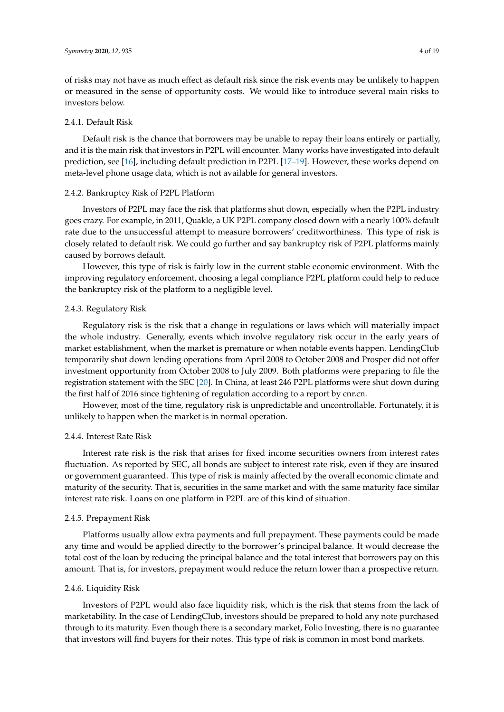## 2.4.1. Default Risk

Default risk is the chance that borrowers may be unable to repay their loans entirely or partially, and it is the main risk that investors in P2PL will encounter. Many works have investigated into default prediction, see [\[16\]](#page-17-12), including default prediction in P2PL [\[17–](#page-17-13)[19\]](#page-17-14). However, these works depend on meta-level phone usage data, which is not available for general investors.

### 2.4.2. Bankruptcy Risk of P2PL Platform

Investors of P2PL may face the risk that platforms shut down, especially when the P2PL industry goes crazy. For example, in 2011, Quakle, a UK P2PL company closed down with a nearly 100% default rate due to the unsuccessful attempt to measure borrowers' creditworthiness. This type of risk is closely related to default risk. We could go further and say bankruptcy risk of P2PL platforms mainly caused by borrows default.

However, this type of risk is fairly low in the current stable economic environment. With the improving regulatory enforcement, choosing a legal compliance P2PL platform could help to reduce the bankruptcy risk of the platform to a negligible level.

# 2.4.3. Regulatory Risk

Regulatory risk is the risk that a change in regulations or laws which will materially impact the whole industry. Generally, events which involve regulatory risk occur in the early years of market establishment, when the market is premature or when notable events happen. LendingClub temporarily shut down lending operations from April 2008 to October 2008 and Prosper did not offer investment opportunity from October 2008 to July 2009. Both platforms were preparing to file the registration statement with the SEC [\[20\]](#page-17-15). In China, at least 246 P2PL platforms were shut down during the first half of 2016 since tightening of regulation according to a report by cnr.cn.

However, most of the time, regulatory risk is unpredictable and uncontrollable. Fortunately, it is unlikely to happen when the market is in normal operation.

# 2.4.4. Interest Rate Risk

Interest rate risk is the risk that arises for fixed income securities owners from interest rates fluctuation. As reported by SEC, all bonds are subject to interest rate risk, even if they are insured or government guaranteed. This type of risk is mainly affected by the overall economic climate and maturity of the security. That is, securities in the same market and with the same maturity face similar interest rate risk. Loans on one platform in P2PL are of this kind of situation.

## 2.4.5. Prepayment Risk

Platforms usually allow extra payments and full prepayment. These payments could be made any time and would be applied directly to the borrower's principal balance. It would decrease the total cost of the loan by reducing the principal balance and the total interest that borrowers pay on this amount. That is, for investors, prepayment would reduce the return lower than a prospective return.

## 2.4.6. Liquidity Risk

Investors of P2PL would also face liquidity risk, which is the risk that stems from the lack of marketability. In the case of LendingClub, investors should be prepared to hold any note purchased through to its maturity. Even though there is a secondary market, Folio Investing, there is no guarantee that investors will find buyers for their notes. This type of risk is common in most bond markets.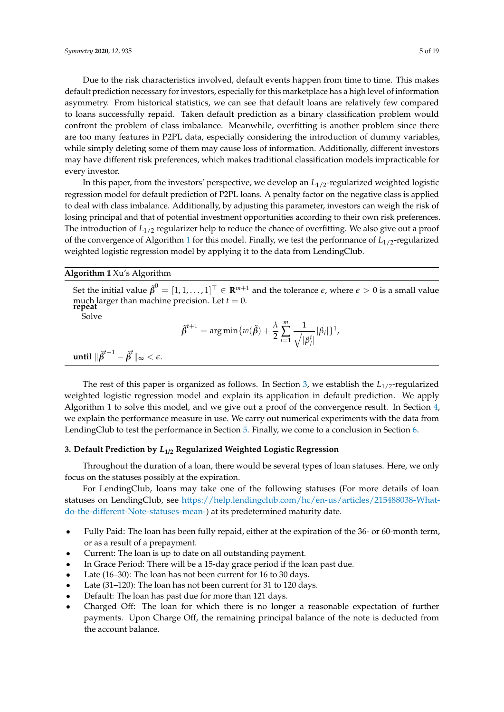Due to the risk characteristics involved, default events happen from time to time. This makes default prediction necessary for investors, especially for this marketplace has a high level of information asymmetry. From historical statistics, we can see that default loans are relatively few compared to loans successfully repaid. Taken default prediction as a binary classification problem would confront the problem of class imbalance. Meanwhile, overfitting is another problem since there are too many features in P2PL data, especially considering the introduction of dummy variables, while simply deleting some of them may cause loss of information. Additionally, different investors may have different risk preferences, which makes traditional classification models impracticable for every investor.

In this paper, from the investors' perspective, we develop an *L*1/2-regularized weighted logistic regression model for default prediction of P2PL loans. A penalty factor on the negative class is applied to deal with class imbalance. Additionally, by adjusting this parameter, investors can weigh the risk of losing principal and that of potential investment opportunities according to their own risk preferences. The introduction of  $L_{1/2}$  regularizer help to reduce the chance of overfitting. We also give out a proof of the convergence of Algorithm [1](#page-4-0) for this model. Finally, we test the performance of *L*1/2-regularized weighted logistic regression model by applying it to the data from LendingClub.

<span id="page-4-0"></span>**Algorithm 1** Xu's Algorithm

Set the initial value  $\tilde{\pmb \beta}^0=[1,1,\ldots,1]^\top\in{\bf R}^{m+1}$  and the tolerance  $\epsilon$ , where  $\epsilon>0$  is a small value much larger than machine precision. Let  $t = 0$ . **repeat**

Solve

$$
\tilde{\beta}^{t+1} = \arg\min \{w(\tilde{\beta}) + \frac{\lambda}{2} \sum_{i=1}^m \frac{1}{\sqrt{|\beta_i^t|}} |\beta_i| \}^1,
$$

 $\textbf{until } \|\tilde{\pmb{\beta}}^{t+1} - \tilde{\pmb{\beta}}^{t}\|_{\infty} < \epsilon.$ 

The rest of this paper is organized as follows. In Section [3,](#page-4-1) we establish the  $L_{1/2}$ -regularized weighted logistic regression model and explain its application in default prediction. We apply Algorithm 1 to solve this model, and we give out a proof of the convergence result. In Section [4,](#page-11-0) we explain the performance measure in use. We carry out numerical experiments with the data from LendingClub to test the performance in Section [5.](#page-12-0) Finally, we come to a conclusion in Section [6.](#page-16-0)

# <span id="page-4-1"></span>**3. Default Prediction by** *L***1/2 Regularized Weighted Logistic Regression**

Throughout the duration of a loan, there would be several types of loan statuses. Here, we only focus on the statuses possibly at the expiration.

For LendingClub, loans may take one of the following statuses (For more details of loan statuses on LendingClub, see [https://help.lendingclub.com/hc/en-us/articles/215488038-What](https://help.lendingclub.com/hc/en-us/articles/215488038-What-do-the-different-Note-statuses-mean-)[do-the-different-Note-statuses-mean-\)](https://help.lendingclub.com/hc/en-us/articles/215488038-What-do-the-different-Note-statuses-mean-) at its predetermined maturity date.

- Fully Paid: The loan has been fully repaid, either at the expiration of the 36- or 60-month term, or as a result of a prepayment.
- Current: The loan is up to date on all outstanding payment.
- In Grace Period: There will be a 15-day grace period if the loan past due.
- Late (16-30): The loan has not been current for 16 to 30 days.
- Late (31-120): The loan has not been current for 31 to 120 days.
- Default: The loan has past due for more than 121 days.
- Charged Off: The loan for which there is no longer a reasonable expectation of further payments. Upon Charge Off, the remaining principal balance of the note is deducted from the account balance.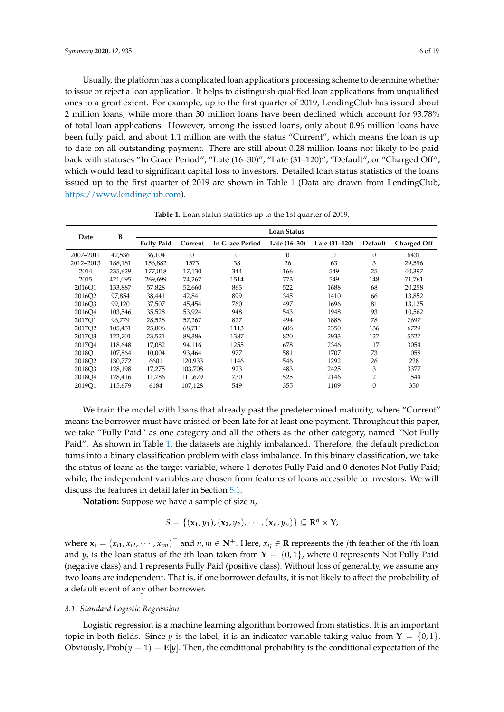Usually, the platform has a complicated loan applications processing scheme to determine whether to issue or reject a loan application. It helps to distinguish qualified loan applications from unqualified ones to a great extent. For example, up to the first quarter of 2019, LendingClub has issued about 2 million loans, while more than 30 million loans have been declined which account for 93.78% of total loan applications. However, among the issued loans, only about 0.96 million loans have been fully paid, and about 1.1 million are with the status "Current", which means the loan is up to date on all outstanding payment. There are still about 0.28 million loans not likely to be paid back with statuses "In Grace Period", "Late (16–30)", "Late (31–120)", "Default", or "Charged Off", which would lead to significant capital loss to investors. Detailed loan status statistics of the loans issued up to the first quarter of 2019 are shown in Table [1](#page-5-0) (Data are drawn from LendingClub, [https://www.lendingclub.com\)](https://www.lendingclub.com).

<span id="page-5-0"></span>

| Date               | B       | <b>Loan Status</b> |          |                        |              |               |                |                    |
|--------------------|---------|--------------------|----------|------------------------|--------------|---------------|----------------|--------------------|
|                    |         | <b>Fully Paid</b>  | Current  | <b>In Grace Period</b> | Late (16–30) | Late (31-120) | Default        | <b>Charged Off</b> |
| 2007-2011          | 42,536  | 36,104             | $\Omega$ | $\mathbf{0}$           | 0            | $\theta$      | 0              | 6431               |
| 2012-2013          | 188.181 | 156,882            | 1573     | 38                     | 26           | 63            | 3              | 29,596             |
| 2014               | 235,629 | 177,018            | 17,130   | 344                    | 166          | 549           | 25             | 40,397             |
| 2015               | 421,095 | 269,699            | 74,267   | 1514                   | 773          | 549           | 148            | 71,761             |
| 2016O1             | 133,887 | 57,828             | 52,660   | 863                    | 522          | 1688          | 68             | 20,258             |
| 2016O <sub>2</sub> | 97,854  | 38,441             | 42,841   | 899                    | 345          | 1410          | 66             | 13,852             |
| 2016O3             | 99,120  | 37,507             | 45,454   | 760                    | 497          | 1696          | 81             | 13,125             |
| 2016O4             | 103,546 | 35,528             | 53,924   | 948                    | 543          | 1948          | 93             | 10,562             |
| 2017O1             | 96.779  | 28,528             | 57,267   | 827                    | 494          | 1888          | 78             | 7697               |
| 2017Q2             | 105,451 | 25,806             | 68,711   | 1113                   | 606          | 2350          | 136            | 6729               |
| 2017O3             | 122,701 | 23,521             | 88,386   | 1387                   | 820          | 2933          | 127            | 5527               |
| 2017O4             | 118,648 | 17,082             | 94,116   | 1255                   | 678          | 2346          | 117            | 3054               |
| 2018O1             | 107,864 | 10.004             | 93,464   | 977                    | 581          | 1707          | 73             | 1058               |
| 2018O <sub>2</sub> | 130,772 | 6601               | 120,933  | 1146                   | 546          | 1292          | 26             | 228                |
| 2018O <sub>3</sub> | 128,198 | 17,275             | 103,708  | 923                    | 483          | 2425          | 3              | 3377               |
| 2018O4             | 128,416 | 11,786             | 111,679  | 730                    | 525          | 2146          | $\overline{2}$ | 1544               |
| 2019Q1             | 115,679 | 6184               | 107,128  | 549                    | 355          | 1109          | 0              | 350                |

**Table 1.** Loan status statistics up to the 1st quarter of 2019.

We train the model with loans that already past the predetermined maturity, where "Current" means the borrower must have missed or been late for at least one payment. Throughout this paper, we take "Fully Paid" as one category and all the others as the other category, named "Not Fully Paid". As shown in Table [1,](#page-5-0) the datasets are highly imbalanced. Therefore, the default prediction turns into a binary classification problem with class imbalance. In this binary classification, we take the status of loans as the target variable, where 1 denotes Fully Paid and 0 denotes Not Fully Paid; while, the independent variables are chosen from features of loans accessible to investors. We will discuss the features in detail later in Section [5.1.](#page-12-1)

**Notation:** Suppose we have a sample of size *n*,

$$
S = \{(\mathbf{x}_1, y_1), (\mathbf{x}_2, y_2), \cdots, (\mathbf{x}_n, y_n)\} \subseteq \mathbb{R}^n \times \mathbb{Y},
$$

where  $\mathbf{x_i} = (x_{i1}, x_{i2}, \cdots, x_{im})^\top$  and  $n, m \in \mathbb{N}^+$ . Here,  $x_{ij} \in \mathbb{R}$  represents the *j*th feather of the *i*th loan and  $y_i$  is the loan status of the *i*th loan taken from  $\mathbf{Y} = \{0, 1\}$ , where 0 represents Not Fully Paid (negative class) and 1 represents Fully Paid (positive class). Without loss of generality, we assume any two loans are independent. That is, if one borrower defaults, it is not likely to affect the probability of a default event of any other borrower.

## *3.1. Standard Logistic Regression*

Logistic regression is a machine learning algorithm borrowed from statistics. It is an important topic in both fields. Since *y* is the label, it is an indicator variable taking value from **Y** =  $\{0,1\}$ . Obviously,  $Prob(y = 1) = E[y]$ . Then, the conditional probability is the conditional expectation of the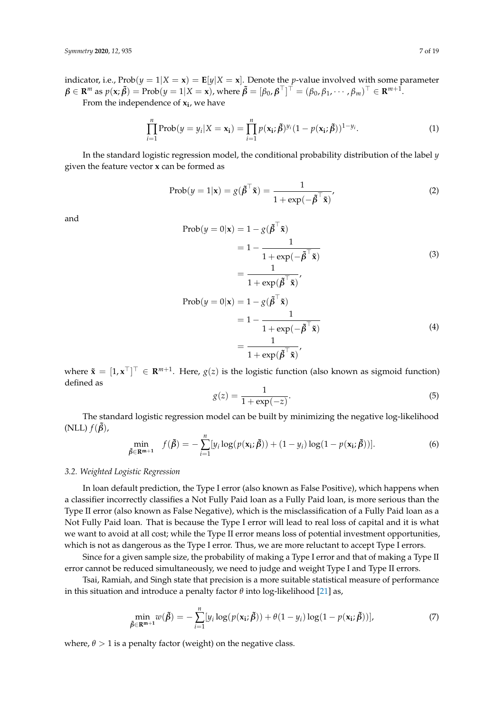indicator, i.e.,  $Prob(y = 1|X = x) = E[y|X = x]$ . Denote the *p*-value involved with some parameter  $\pmb{\beta}\in\mathbf{R}^m$  as  $p(\mathbf{x};\tilde{\pmb{\beta}})=\textrm{Prob}(y=1|X=\mathbf{x})$ , where  $\tilde{\pmb{\beta}}=[\beta_0,\pmb{\beta}^\top]^\top=(\beta_0,\beta_1,\cdots,\beta_m)^\top\in\mathbf{R}^{m+1}.$ 

From the independence of **x<sup>i</sup>** , we have

$$
\prod_{i=1}^{n} \operatorname{Prob}(y = y_i | X = \mathbf{x_i}) = \prod_{i=1}^{n} p(\mathbf{x_i}; \tilde{\boldsymbol{\beta}})^{y_i} (1 - p(\mathbf{x_i}; \tilde{\boldsymbol{\beta}}))^{1 - y_i}.
$$
\n(1)

In the standard logistic regression model, the conditional probability distribution of the label *y* given the feature vector **x** can be formed as

$$
Prob(y = 1|\mathbf{x}) = g(\tilde{\boldsymbol{\beta}}^{\top}\tilde{\mathbf{x}}) = \frac{1}{1 + exp(-\tilde{\boldsymbol{\beta}}^{\top}\tilde{\mathbf{x}})}
$$
(2)

and

$$
\begin{aligned} \text{Prob}(y=0|\mathbf{x}) &= 1 - g(\tilde{\boldsymbol{\beta}}^{\top}\tilde{\mathbf{x}}) \\ &= 1 - \frac{1}{1 + \exp(-\tilde{\boldsymbol{\beta}}^{\top}\tilde{\mathbf{x}})} \\ &= \frac{1}{1 + \exp(\tilde{\boldsymbol{\beta}}^{\top}\tilde{\mathbf{x}})}, \\ \text{Prob}(y=0|\mathbf{x}) &= 1 - g(\tilde{\boldsymbol{\beta}}^{\top}\tilde{\mathbf{x}}) \\ &= 1 - \frac{1}{1 + \exp(-\tilde{\boldsymbol{\beta}}^{\top}\tilde{\mathbf{x}})} \\ &= \frac{1}{1 + \exp(\tilde{\boldsymbol{\beta}}^{\top}\tilde{\mathbf{x}})}, \end{aligned} \tag{4}
$$

where  $\tilde{\mathbf{x}} = [1, \mathbf{x}^\top]^\top \in \mathbb{R}^{m+1}$ . Here,  $g(z)$  is the logistic function (also known as sigmoid function) defined as

$$
g(z) = \frac{1}{1 + \exp(-z)}.\tag{5}
$$

The standard logistic regression model can be built by minimizing the negative log-likelihood  $(NLL) f(\tilde{\boldsymbol{\beta}})$ ,

$$
\min_{\tilde{\beta} \in \mathbf{R}^{\mathbf{m}+1}} f(\tilde{\beta}) = -\sum_{i=1}^{n} [y_i \log(p(\mathbf{x}_i; \tilde{\beta})) + (1 - y_i) \log(1 - p(\mathbf{x}_i; \tilde{\beta}))]. \tag{6}
$$

## *3.2. Weighted Logistic Regression*

In loan default prediction, the Type I error (also known as False Positive), which happens when a classifier incorrectly classifies a Not Fully Paid loan as a Fully Paid loan, is more serious than the Type II error (also known as False Negative), which is the misclassification of a Fully Paid loan as a Not Fully Paid loan. That is because the Type I error will lead to real loss of capital and it is what we want to avoid at all cost; while the Type II error means loss of potential investment opportunities, which is not as dangerous as the Type I error. Thus, we are more reluctant to accept Type I errors.

Since for a given sample size, the probability of making a Type I error and that of making a Type II error cannot be reduced simultaneously, we need to judge and weight Type I and Type II errors.

Tsai, Ramiah, and Singh state that precision is a more suitable statistical measure of performance in this situation and introduce a penalty factor *θ* into log-likelihood [\[21\]](#page-17-16) as,

$$
\min_{\tilde{\beta} \in \mathbb{R}^{m+1}} w(\tilde{\beta}) = -\sum_{i=1}^{n} [y_i \log(p(\mathbf{x}_i; \tilde{\beta})) + \theta(1 - y_i) \log(1 - p(\mathbf{x}_i; \tilde{\beta}))],
$$
\n(7)

where,  $\theta > 1$  is a penalty factor (weight) on the negative class.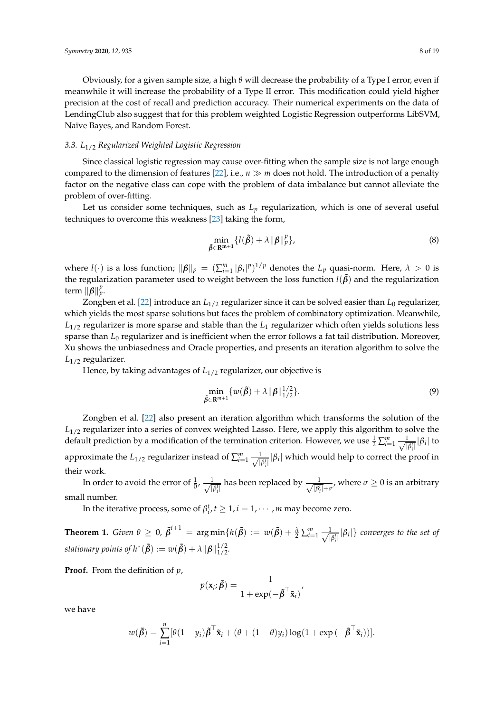Obviously, for a given sample size, a high *θ* will decrease the probability of a Type I error, even if meanwhile it will increase the probability of a Type II error. This modification could yield higher precision at the cost of recall and prediction accuracy. Their numerical experiments on the data of LendingClub also suggest that for this problem weighted Logistic Regression outperforms LibSVM, Naïve Bayes, and Random Forest.

# *3.3. L*1/2 *Regularized Weighted Logistic Regression*

Since classical logistic regression may cause over-fitting when the sample size is not large enough compared to the dimension of features [\[22\]](#page-17-17), i.e.,  $n \gg m$  does not hold. The introduction of a penalty factor on the negative class can cope with the problem of data imbalance but cannot alleviate the problem of over-fitting.

Let us consider some techniques, such as  $L_p$  regularization, which is one of several useful techniques to overcome this weakness [\[23\]](#page-18-0) taking the form,

$$
\min_{\tilde{\beta}\in\mathbb{R}^{m+1}}\{l(\tilde{\beta})+\lambda\|\beta\|_{p}^{p}\},\tag{8}
$$

where  $l(\cdot)$  is a loss function;  $\|\boldsymbol{\beta}\|_p = (\sum_{i=1}^m |\beta_i|^p)^{1/p}$  denotes the  $L_p$  quasi-norm. Here,  $\lambda > 0$  is the regularization parameter used to weight between the loss function  $l(\tilde{\beta})$  and the regularization term  $\|\boldsymbol{\beta}\|_p^p$ .

Zongben et al. [\[22\]](#page-17-17) introduce an *L*1/2 regularizer since it can be solved easier than *L*<sup>0</sup> regularizer, which yields the most sparse solutions but faces the problem of combinatory optimization. Meanwhile, *L*1/2 regularizer is more sparse and stable than the *L*<sup>1</sup> regularizer which often yields solutions less sparse than *L*<sup>0</sup> regularizer and is inefficient when the error follows a fat tail distribution. Moreover, Xu shows the unbiasedness and Oracle properties, and presents an iteration algorithm to solve the *L*1/2 regularizer.

Hence, by taking advantages of  $L_{1/2}$  regularizer, our objective is

$$
\min_{\tilde{\beta} \in \mathbf{R}^{m+1}} \{ w(\tilde{\beta}) + \lambda \| \beta \|_{1/2}^{1/2} \}.
$$
\n(9)

Zongben et al. [\[22\]](#page-17-17) also present an iteration algorithm which transforms the solution of the *L*<sub>1/2</sub> regularizer into a series of convex weighted Lasso. Here, we apply this algorithm to solve the default prediction by a modification of the termination criterion. However, we use  $\frac{1}{2} \sum_{i=1}^{m} \frac{1}{\sqrt{n}}$  $\frac{1}{|\beta_i^t|} |\beta_i|$  to approximate the *L*<sub>1/2</sub> regularizer instead of  $\sum_{i=1}^{m} \frac{1}{\sqrt{n}}$  $\frac{1}{|\beta_i^t|} |\beta_i|$  which would help to correct the proof in their work.

In order to avoid the error of  $\frac{1}{0}$ ,  $\frac{1}{\sqrt{1}}$  $\frac{1}{|\beta_i^t|}$  has been replaced by  $\frac{1}{\sqrt{|\beta_i^t|}}$  $\frac{1}{|\beta_i^t|+\sigma}$ , where  $\sigma\geq 0$  is an arbitrary small number.

In the iterative process, some of  $\beta_i^t$ ,  $t \geq 1$ ,  $i = 1, \cdots, m$  may become zero.

**Theorem 1.** *Given*  $\theta \ge 0$ ,  $\tilde{\beta}^{t+1} = \arg \min \{ h(\tilde{\beta}) := w(\tilde{\beta}) + \frac{\lambda}{2} \sum_{i=1}^{m} \frac{1}{\sqrt{n}} \}$  $\frac{1}{|\beta_i^t|} |\beta_i|$ } *converges to the set of stationary points of h\** ( $\tilde{\boldsymbol{\beta}}$ ) :=  $w(\tilde{\boldsymbol{\beta}}) + \lambda ||\boldsymbol{\beta}||_{1/2}^{1/2}$ .

**Proof.** From the definition of *p*,

$$
p(\mathbf{x}_i; \tilde{\boldsymbol{\beta}}) = \frac{1}{1 + \exp(-\tilde{\boldsymbol{\beta}}^\top \tilde{\mathbf{x}}_i)},
$$

we have

$$
w(\tilde{\boldsymbol{\beta}}) = \sum_{i=1}^n [\theta(1-y_i)\tilde{\boldsymbol{\beta}}^\top \tilde{\mathbf{x}}_i + (\theta + (1-\theta)y_i)\log(1+\exp(-\tilde{\boldsymbol{\beta}}^\top \tilde{\mathbf{x}}_i))].
$$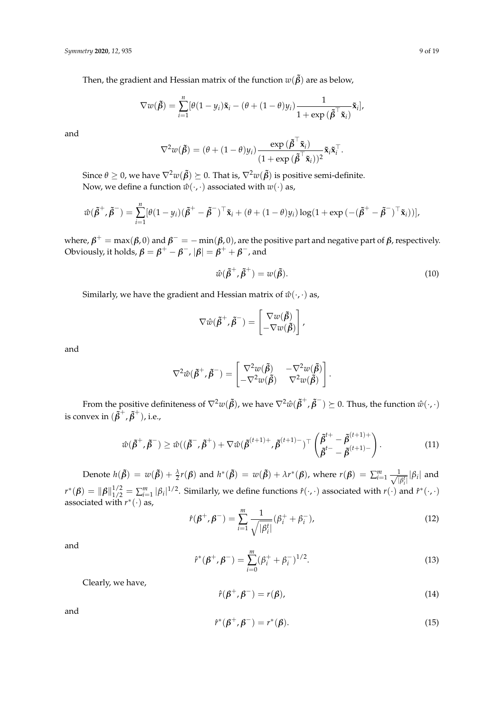Then, the gradient and Hessian matrix of the function  $w(\tilde{\beta})$  are as below,

$$
\nabla w(\tilde{\boldsymbol{\beta}}) = \sum_{i=1}^n [\theta(1-y_i)\tilde{\mathbf{x}}_i - (\theta + (1-\theta)y_i)\frac{1}{1+\exp(\tilde{\boldsymbol{\beta}}^\top \tilde{\mathbf{x}}_i)},
$$

and

$$
\nabla^2 w(\tilde{\boldsymbol{\beta}}) = (\theta + (1 - \theta)y_i) \frac{\exp(\tilde{\boldsymbol{\beta}}^\top \tilde{\mathbf{x}}_i)}{(1 + \exp(\tilde{\boldsymbol{\beta}}^\top \tilde{\mathbf{x}}_i))^2} \tilde{\mathbf{x}}_i \tilde{\mathbf{x}}_i^\top.
$$

Since  $\theta \ge 0$ , we have  $\nabla^2 w(\tilde{\beta}) \succeq 0$ . That is,  $\nabla^2 w(\tilde{\beta})$  is positive semi-definite. Now, we define a function  $\hat{w}(\cdot, \cdot)$  associated with  $w(\cdot)$  as,

$$
\hat{w}(\tilde{\beta}^+, \tilde{\beta}^-) = \sum_{i=1}^n [\theta(1-y_i)(\tilde{\beta}^+ - \tilde{\beta}^-)^\top \tilde{\mathbf{x}}_i + (\theta + (1-\theta)y_i) \log(1 + \exp(-(\tilde{\beta}^+ - \tilde{\beta}^-)^\top \tilde{\mathbf{x}}_i))],
$$

where,  $\pmb{\beta}^+=\max(\pmb{\beta},0)$  and  $\pmb{\beta}^-=-\min(\pmb{\beta},0)$ , are the positive part and negative part of  $\pmb{\beta}$ , respectively. Obviously, it holds,  $\pmb{\beta} = \pmb{\beta}^+ - \pmb{\beta}^-$  ,  $|\pmb{\beta}| = \pmb{\beta}^+ + \pmb{\beta}^-$  , and

$$
\hat{w}(\tilde{\beta}^+, \tilde{\beta}^+) = w(\tilde{\beta}).\tag{10}
$$

Similarly, we have the gradient and Hessian matrix of  $\hat{w}(\cdot, \cdot)$  as,

$$
\nabla \hat{w}(\tilde{\beta}^+, \tilde{\beta}^-) = \begin{bmatrix} \nabla w(\tilde{\beta}) \\ -\nabla w(\tilde{\beta}) \end{bmatrix},
$$

and

$$
\nabla^2 \hat{w}(\tilde{\beta}^+, \tilde{\beta}^-) = \begin{bmatrix} \nabla^2 w(\tilde{\beta}) & -\nabla^2 w(\tilde{\beta}) \\ -\nabla^2 w(\tilde{\beta}) & \nabla^2 w(\tilde{\beta}) \end{bmatrix}.
$$

From the positive definiteness of  $\nabla^2w(\tilde{\pmb\beta})$ , we have  $\nabla^2\hat w(\tilde{\pmb\beta}^+,\tilde{\pmb\beta}^-)\succeq 0.$  Thus, the function  $\hat w(\cdot,\cdot)$ is convex in  $(\tilde{\beta}^+, \tilde{\beta}^+)$ , i.e.,

<span id="page-8-0"></span>
$$
\hat{w}(\tilde{\beta}^+, \tilde{\beta}^-) \ge \hat{w}((\tilde{\beta}^-, \tilde{\beta}^+) + \nabla \hat{w}(\tilde{\beta}^{(t+1)+}, \tilde{\beta}^{(t+1)-})^\top \left(\begin{matrix} \tilde{\beta}^{t+} - \tilde{\beta}^{(t+1)+} \\ \tilde{\beta}^{t-} - \tilde{\beta}^{(t+1)-} \end{matrix}\right). \tag{11}
$$

Denote  $h(\tilde{\beta}) = w(\tilde{\beta}) + \frac{\lambda}{2}r(\beta)$  and  $h^*(\tilde{\beta}) = w(\tilde{\beta}) + \lambda r^*(\beta)$ , where  $r(\beta) = \sum_{i=1}^m \frac{1}{\sqrt{n}}$  $\frac{1}{|\beta_i^t|} |\beta_i|$  and *i*  $r^*(\beta) = ||\beta||_{1/2}^{1/2} = \sum_{i=1}^m |\beta_i|^{1/2}$ . Similarly, we define functions  $\hat{r}(\cdot,\cdot)$  associated with  $r(\cdot)$  and  $\hat{r}^*(\cdot,\cdot)$ associated with  $r^*(\cdot)$  as,

$$
\hat{r}(\beta^+, \beta^-) = \sum_{i=1}^m \frac{1}{\sqrt{|\beta_i^t|}} (\beta_i^+ + \beta_i^-), \tag{12}
$$

and

<span id="page-8-1"></span>
$$
\hat{r}^*(\beta^+, \beta^-) = \sum_{i=0}^m (\beta_i^+ + \beta_i^-)^{1/2}.
$$
\n(13)

Clearly, we have,

<span id="page-8-2"></span>
$$
\hat{r}(\beta^+,\beta^-)=r(\beta),\tag{14}
$$

and

$$
\hat{r}^*(\beta^+, \beta^-) = r^*(\beta). \tag{15}
$$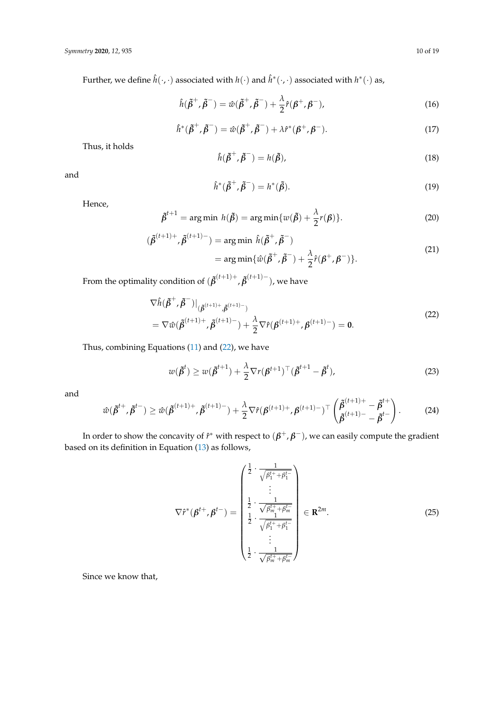Further, we define  $\hat{h}(\cdot,\cdot)$  associated with  $h(\cdot)$  and  $\hat{h}^*(\cdot,\cdot)$  associated with  $h^*(\cdot)$  as,

$$
\hat{h}(\tilde{\beta}^+,\tilde{\beta}^-) = \hat{w}(\tilde{\beta}^+,\tilde{\beta}^-) + \frac{\lambda}{2}\hat{r}(\beta^+,\beta^-),\tag{16}
$$

$$
\hat{h}^*(\tilde{\beta}^+, \tilde{\beta}^-) = \hat{w}(\tilde{\beta}^+, \tilde{\beta}^-) + \lambda \hat{r}^*(\beta^+, \beta^-). \tag{17}
$$

Thus, it holds

$$
\hat{h}(\tilde{\beta}^+, \tilde{\beta}^-) = h(\tilde{\beta}),\tag{18}
$$

and

$$
\hat{h}^*(\tilde{\beta}^+, \tilde{\beta}^-) = h^*(\tilde{\beta}).\tag{19}
$$

Hence,

$$
\tilde{\beta}^{t+1} = \arg\min h(\tilde{\beta}) = \arg\min \{ w(\tilde{\beta}) + \frac{\lambda}{2} r(\beta) \}. \tag{20}
$$

$$
(\tilde{\beta}^{(t+1)+}, \tilde{\beta}^{(t+1)-}) = \arg\min \hat{h}(\tilde{\beta}^+, \tilde{\beta}^-)
$$
  
= 
$$
\arg\min{\{\hat{w}(\tilde{\beta}^+, \tilde{\beta}^-) + \frac{\lambda}{2}\hat{r}(\beta^+, \beta^-)\}}.
$$
 (21)

From the optimality condition of  $(\tilde{\pmb{\beta}}^{(t+1)+}, \tilde{\pmb{\beta}}^{(t+1)-}),$  we have

<span id="page-9-0"></span>
$$
\nabla \hat{h}(\tilde{\beta}^{+}, \tilde{\beta}^{-})|_{(\tilde{\beta}^{(t+1)+}, \tilde{\beta}^{(t+1)-})}
$$
\n
$$
= \nabla \hat{w}(\tilde{\beta}^{(t+1)+}, \tilde{\beta}^{(t+1)-}) + \frac{\lambda}{2} \nabla \hat{r}(\beta^{(t+1)+}, \beta^{(t+1)-}) = 0.
$$
\n(22)

Thus, combining Equations [\(11\)](#page-8-0) and [\(22\)](#page-9-0), we have

<span id="page-9-2"></span>
$$
w(\tilde{\beta}^t) \ge w(\tilde{\beta}^{t+1}) + \frac{\lambda}{2} \nabla r(\beta^{t+1})^\top (\tilde{\beta}^{t+1} - \tilde{\beta}^t), \tag{23}
$$

and

$$
\hat{w}(\tilde{\beta}^{t+}, \tilde{\beta}^{t-}) \ge \hat{w}(\tilde{\beta}^{(t+1)+}, \tilde{\beta}^{(t+1)-}) + \frac{\lambda}{2} \nabla \hat{r}(\beta^{(t+1)+}, \beta^{(t+1)-})^{\top} \begin{pmatrix} \tilde{\beta}^{(t+1)+} - \tilde{\beta}^{t+} \\ \tilde{\beta}^{(t+1)-} - \tilde{\beta}^{t-} \end{pmatrix}.
$$
 (24)

In order to show the concavity of  $\hat{r}^*$  with respect to  $(\pmb{\beta}^+,\pmb{\beta}^-)$ , we can easily compute the gradient based on its definition in Equation [\(13\)](#page-8-1) as follows,

<span id="page-9-1"></span>
$$
\nabla \hat{r}^{*}(\boldsymbol{\beta}^{t+}, \boldsymbol{\beta}^{t-}) = \begin{pmatrix} \frac{1}{2} \cdot \frac{1}{\sqrt{\beta_{1}^{t+} + \beta_{1}^{t-}}} \\ \vdots \\ \frac{1}{2} \cdot \frac{1}{\sqrt{\beta_{m}^{t+} + \beta_{m}^{t-}}} \\ \frac{1}{2} \cdot \frac{1}{\sqrt{\beta_{1}^{t+} + \beta_{1}^{t-}}} \\ \vdots \\ \frac{1}{2} \cdot \frac{1}{\sqrt{\beta_{m}^{t+} + \beta_{m}^{t-}}} \end{pmatrix} \in \mathbf{R}^{2m}.
$$
 (25)

Since we know that,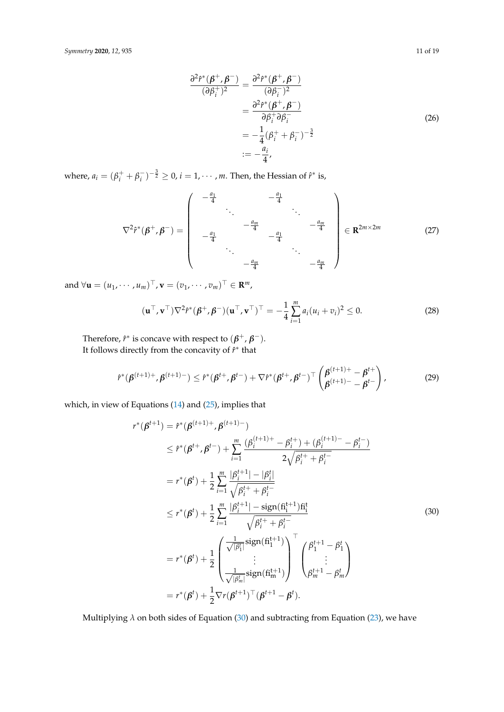$$
\frac{\partial^2 \hat{r}^*(\beta^+, \beta^-)}{(\partial \beta_i^+)^2} = \frac{\partial^2 \hat{r}^*(\beta^+, \beta^-)}{(\partial \beta_i^-)^2}
$$

$$
= \frac{\partial^2 \hat{r}^*(\beta^+, \beta^-)}{\partial \beta_i^+ \partial \beta_i^-}
$$

$$
= -\frac{1}{4}(\beta_i^+ + \beta_i^-)^{-\frac{3}{2}}
$$

$$
:= -\frac{a_i}{4},
$$
\n(26)

where,  $a_i = (\beta_i^+ + \beta_i^-)$  $\int_{i}^{-}$ ) $^{-\frac{3}{2}} \geq 0$ ,  $i = 1, \cdots, m$ . Then, the Hessian of  $\hat{r}^*$  is,

∇<sup>2</sup> *r*ˆ ∗ (*β* <sup>+</sup>, *β* <sup>−</sup>) = − *a*1 <sup>4</sup> − *a*1 4 . . . . . . − *am* <sup>4</sup> − *am* 4 − *a*1 <sup>4</sup> − *a*1 4 . . . . . . − *am* <sup>4</sup> − *am* 4 ∈ **R** <sup>2</sup>*m*×2*<sup>m</sup>* (27)

and  $\forall \mathbf{u} = (u_1, \dots, u_m)^\top, \mathbf{v} = (v_1, \dots, v_m)^\top \in \mathbb{R}^m$ ,

$$
(\mathbf{u}^\top, \mathbf{v}^\top) \nabla^2 \hat{r}^* (\boldsymbol{\beta}^+, \boldsymbol{\beta}^-) (\mathbf{u}^\top, \mathbf{v}^\top)^\top = -\frac{1}{4} \sum_{i=1}^m a_i (u_i + v_i)^2 \le 0.
$$
 (28)

Therefore,  $\hat{r}^*$  is concave with respect to  $(\beta^+, \beta^-)$ . It follows directly from the concavity of  $\hat{r}^*$  that

$$
\hat{r}^*(\beta^{(t+1)+},\beta^{(t+1)-}) \leq \hat{r}^*(\beta^{t+},\beta^{t-}) + \nabla \hat{r}^*(\beta^{t+},\beta^{t-})^\top \left(\frac{\beta^{(t+1)+}-\beta^{t+}}{\beta^{(t+1)-}-\beta^{t-}}\right),\tag{29}
$$

which, in view of Equations [\(14\)](#page-8-2) and [\(25\)](#page-9-1), implies that

<span id="page-10-0"></span>
$$
r^{*}(\beta^{t+1}) = r^{*}(\beta^{(t+1)+}, \beta^{(t+1)-})
$$
  
\n
$$
\leq r^{*}(\beta^{t+}, \beta^{t-}) + \sum_{i=1}^{m} \frac{(\beta_{i}^{(t+1)+} - \beta_{i}^{t+}) + (\beta_{i}^{(t+1)-} - \beta_{i}^{t-})}{2\sqrt{\beta_{i}^{t+} + \beta_{i}^{t-}}}
$$
  
\n
$$
= r^{*}(\beta^{t}) + \frac{1}{2} \sum_{i=1}^{m} \frac{|\beta_{i}^{t+1}| - |\beta_{i}^{t}|}{\sqrt{\beta_{i}^{t+} + \beta_{i}^{t-}}}
$$
  
\n
$$
\leq r^{*}(\beta^{t}) + \frac{1}{2} \sum_{i=1}^{m} \frac{|\beta_{i}^{t+1}| - \text{sign}(f_i^{t+1})f_i^{t}}{\sqrt{\beta_{i}^{t+} + \beta_{i}^{t-}}}
$$
  
\n
$$
= r^{*}(\beta^{t}) + \frac{1}{2} \begin{pmatrix} \frac{1}{\sqrt{|\beta_{i}^{t}|}} \text{sign}(f_i^{t+1}) \\ \vdots \\ \frac{1}{\sqrt{|\beta_{m}^{t}|}} \text{sign}(f_i^{t+1}) \\ \vdots \end{pmatrix}^{\top} \begin{pmatrix} \beta_{1}^{t+1} - \beta_{1}^{t} \\ \vdots \\ \beta_{m}^{t+1} - \beta_{m}^{t} \end{pmatrix}
$$
  
\n
$$
= r^{*}(\beta^{t}) + \frac{1}{2} \nabla r(\beta^{t+1})^{\top} (\beta^{t+1} - \beta^{t}).
$$

Multiplying *λ* on both sides of Equation [\(30\)](#page-10-0) and subtracting from Equation [\(23\)](#page-9-2), we have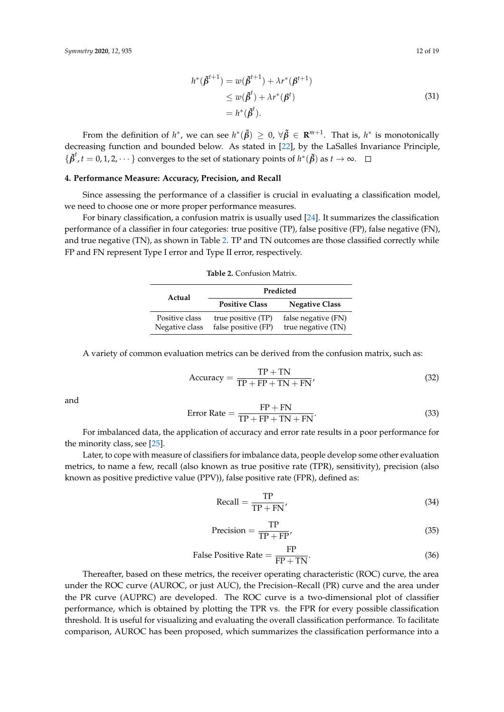$$
h^*(\tilde{\beta}^{t+1}) = w(\tilde{\beta}^{t+1}) + \lambda r^*(\beta^{t+1})
$$
  
\n
$$
\leq w(\tilde{\beta}^t) + \lambda r^*(\beta^t)
$$
  
\n
$$
= h^*(\tilde{\beta}^t).
$$
\n(31)

From the definition of  $h^*$ , we can see  $h^*(\tilde{\beta}) \geq 0$ ,  $\forall \tilde{\beta} \in \mathbf{R}^{m+1}$ . That is,  $h^*$  is monotonically decreasing function and bounded below. As stated in [\[22\]](#page-17-17), by the LaSalles Invariance Principle,  $\{\tilde{\pmb{\beta}}^t, t=0,1,2,\cdots\}$  converges to the set of stationary points of  $h^*(\tilde{\pmb{\beta}})$  as  $t\to\infty$ .

# <span id="page-11-0"></span>**4. Performance Measure: Accuracy, Precision, and Recall**

Since assessing the performance of a classifier is crucial in evaluating a classification model, we need to choose one or more proper performance measures.

<span id="page-11-1"></span>For binary classification, a confusion matrix is usually used [\[24\]](#page-18-1). It summarizes the classification performance of a classifier in four categories: true positive (TP), false positive (FP), false negative (FN), and true negative (TN), as shown in Table [2.](#page-11-1) TP and TN outcomes are those classified correctly while FP and FN represent Type I error and Type II error, respectively.

| Actual                           | Predicted                                 |                                           |  |  |  |
|----------------------------------|-------------------------------------------|-------------------------------------------|--|--|--|
|                                  | <b>Positive Class</b>                     | <b>Negative Class</b>                     |  |  |  |
| Positive class<br>Negative class | true positive (TP)<br>false positive (FP) | false negative (FN)<br>true negative (TN) |  |  |  |

**Table 2.** Confusion Matrix.

A variety of common evaluation metrics can be derived from the confusion matrix, such as:

$$
Accuracy = \frac{TP + TN}{TP + FP + TN + FN'},
$$
\n(32)

and

$$
Error Rate = \frac{FP + FN}{TP + FP + TN + FN}.
$$
\n(33)

For imbalanced data, the application of accuracy and error rate results in a poor performance for the minority class, see [\[25\]](#page-18-2).

Later, to cope with measure of classifiers for imbalance data, people develop some other evaluation metrics, to name a few, recall (also known as true positive rate (TPR), sensitivity), precision (also known as positive predictive value (PPV)), false positive rate (FPR), defined as:

$$
Recall = \frac{TP}{TP + FN'}
$$
\n(34)

$$
Precision = \frac{TP}{TP + FP'},
$$
\n(35)

False Positive Rate = 
$$
\frac{FP}{FP + TN}.
$$
 (36)

Thereafter, based on these metrics, the receiver operating characteristic (ROC) curve, the area under the ROC curve (AUROC, or just AUC), the Precision–Recall (PR) curve and the area under the PR curve (AUPRC) are developed. The ROC curve is a two-dimensional plot of classifier performance, which is obtained by plotting the TPR vs. the FPR for every possible classification threshold. It is useful for visualizing and evaluating the overall classification performance. To facilitate comparison, AUROC has been proposed, which summarizes the classification performance into a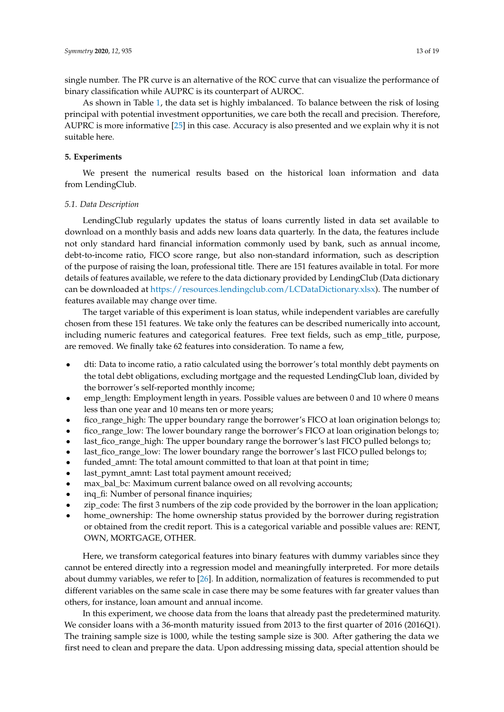single number. The PR curve is an alternative of the ROC curve that can visualize the performance of binary classification while AUPRC is its counterpart of AUROC.

As shown in Table [1,](#page-5-0) the data set is highly imbalanced. To balance between the risk of losing principal with potential investment opportunities, we care both the recall and precision. Therefore, AUPRC is more informative [\[25\]](#page-18-2) in this case. Accuracy is also presented and we explain why it is not suitable here.

# <span id="page-12-0"></span>**5. Experiments**

We present the numerical results based on the historical loan information and data from LendingClub.

### <span id="page-12-1"></span>*5.1. Data Description*

LendingClub regularly updates the status of loans currently listed in data set available to download on a monthly basis and adds new loans data quarterly. In the data, the features include not only standard hard financial information commonly used by bank, such as annual income, debt-to-income ratio, FICO score range, but also non-standard information, such as description of the purpose of raising the loan, professional title. There are 151 features available in total. For more details of features available, we refere to the data dictionary provided by LendingClub (Data dictionary can be downloaded at [https://resources.lendingclub.com/LCDataDictionary.xlsx\)](https://resources.lendingclub.com/LCDataDictionary.xlsx). The number of features available may change over time.

The target variable of this experiment is loan status, while independent variables are carefully chosen from these 151 features. We take only the features can be described numerically into account, including numeric features and categorical features. Free text fields, such as emp\_title, purpose, are removed. We finally take 62 features into consideration. To name a few,

- dti: Data to income ratio, a ratio calculated using the borrower's total monthly debt payments on the total debt obligations, excluding mortgage and the requested LendingClub loan, divided by the borrower's self-reported monthly income;
- emp\_length: Employment length in years. Possible values are between 0 and 10 where 0 means less than one year and 10 means ten or more years;
- fico\_range\_high: The upper boundary range the borrower's FICO at loan origination belongs to;
- fico\_range\_low: The lower boundary range the borrower's FICO at loan origination belongs to;
- last\_fico\_range\_high: The upper boundary range the borrower's last FICO pulled belongs to;
- last\_fico\_range\_low: The lower boundary range the borrower's last FICO pulled belongs to;
- funded\_amnt: The total amount committed to that loan at that point in time;
- last\_pymnt\_amnt: Last total payment amount received;
- max\_bal\_bc: Maximum current balance owed on all revolving accounts;
- inq\_fi: Number of personal finance inquiries;
- zip code: The first 3 numbers of the zip code provided by the borrower in the loan application;
- home\_ownership: The home ownership status provided by the borrower during registration or obtained from the credit report. This is a categorical variable and possible values are: RENT, OWN, MORTGAGE, OTHER.

Here, we transform categorical features into binary features with dummy variables since they cannot be entered directly into a regression model and meaningfully interpreted. For more details about dummy variables, we refer to [\[26\]](#page-18-3). In addition, normalization of features is recommended to put different variables on the same scale in case there may be some features with far greater values than others, for instance, loan amount and annual income.

In this experiment, we choose data from the loans that already past the predetermined maturity. We consider loans with a 36-month maturity issued from 2013 to the first quarter of 2016 (2016Q1). The training sample size is 1000, while the testing sample size is 300. After gathering the data we first need to clean and prepare the data. Upon addressing missing data, special attention should be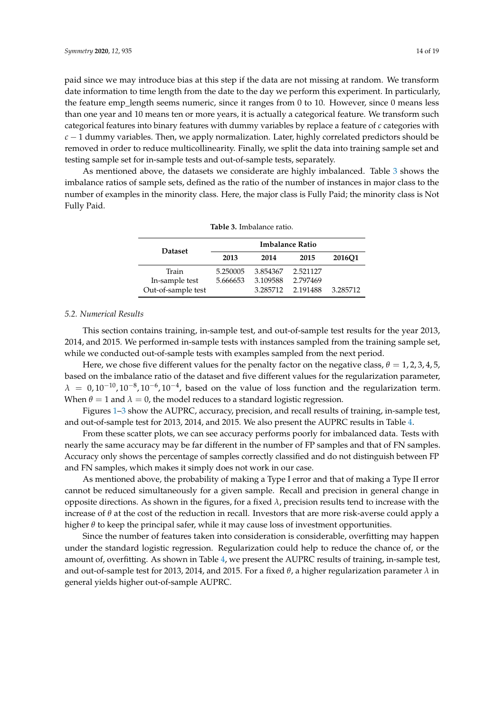paid since we may introduce bias at this step if the data are not missing at random. We transform date information to time length from the date to the day we perform this experiment. In particularly, the feature emp\_length seems numeric, since it ranges from 0 to 10. However, since 0 means less than one year and 10 means ten or more years, it is actually a categorical feature. We transform such categorical features into binary features with dummy variables by replace a feature of *c* categories with *c* − 1 dummy variables. Then, we apply normalization. Later, highly correlated predictors should be removed in order to reduce multicollinearity. Finally, we split the data into training sample set and testing sample set for in-sample tests and out-of-sample tests, separately.

<span id="page-13-0"></span>As mentioned above, the datasets we considerate are highly imbalanced. Table [3](#page-13-0) shows the imbalance ratios of sample sets, defined as the ratio of the number of instances in major class to the number of examples in the minority class. Here, the major class is Fully Paid; the minority class is Not Fully Paid.

| <b>Dataset</b>     | Imbalance Ratio |          |          |          |  |  |  |  |
|--------------------|-----------------|----------|----------|----------|--|--|--|--|
|                    | 2013            | 2014     | 2015     | 2016O1   |  |  |  |  |
| Train              | 5.250005        | 3.854367 | 2.521127 |          |  |  |  |  |
| In-sample test     | 5.666653        | 3.109588 | 2.797469 |          |  |  |  |  |
| Out-of-sample test |                 | 3.285712 | 2.191488 | 3.285712 |  |  |  |  |

# **Table 3.** Imbalance ratio.

## *5.2. Numerical Results*

This section contains training, in-sample test, and out-of-sample test results for the year 2013, 2014, and 2015. We performed in-sample tests with instances sampled from the training sample set, while we conducted out-of-sample tests with examples sampled from the next period.

Here, we chose five different values for the penalty factor on the negative class,  $\theta = 1, 2, 3, 4, 5$ , based on the imbalance ratio of the dataset and five different values for the regularization parameter,  $\lambda = 0.10^{-10}$ ,  $10^{-8}$ ,  $10^{-6}$ ,  $10^{-4}$ , based on the value of loss function and the regularization term. When  $\theta = 1$  and  $\lambda = 0$ , the model reduces to a standard logistic regression.

Figures [1–](#page-15-0)[3](#page-16-1) show the AUPRC, accuracy, precision, and recall results of training, in-sample test, and out-of-sample test for 2013, 2014, and 2015. We also present the AUPRC results in Table [4.](#page-14-0)

From these scatter plots, we can see accuracy performs poorly for imbalanced data. Tests with nearly the same accuracy may be far different in the number of FP samples and that of FN samples. Accuracy only shows the percentage of samples correctly classified and do not distinguish between FP and FN samples, which makes it simply does not work in our case.

As mentioned above, the probability of making a Type I error and that of making a Type II error cannot be reduced simultaneously for a given sample. Recall and precision in general change in opposite directions. As shown in the figures, for a fixed  $\lambda$ , precision results tend to increase with the increase of  $\theta$  at the cost of the reduction in recall. Investors that are more risk-averse could apply a higher  $\theta$  to keep the principal safer, while it may cause loss of investment opportunities.

Since the number of features taken into consideration is considerable, overfitting may happen under the standard logistic regression. Regularization could help to reduce the chance of, or the amount of, overfitting. As shown in Table [4,](#page-14-0) we present the AUPRC results of training, in-sample test, and out-of-sample test for 2013, 2014, and 2015. For a fixed *θ*, a higher regularization parameter *λ* in general yields higher out-of-sample AUPRC.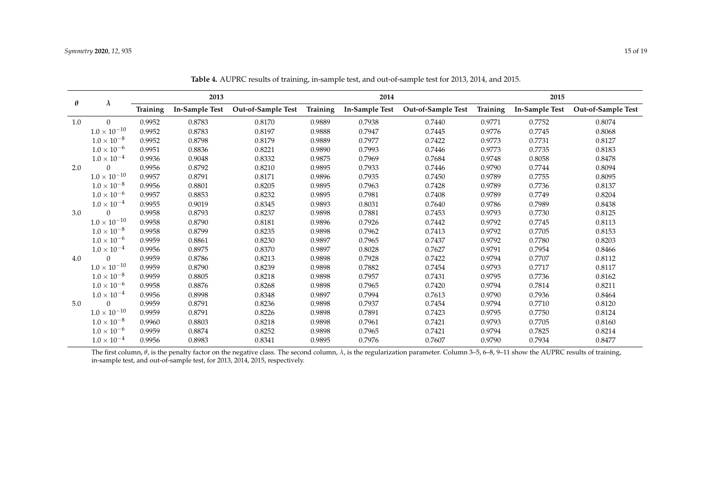| $\theta$ | $\lambda$             | 2013     |                |                    | 2014     |                |                    | 2015            |                |                    |
|----------|-----------------------|----------|----------------|--------------------|----------|----------------|--------------------|-----------------|----------------|--------------------|
|          |                       | Training | In-Sample Test | Out-of-Sample Test | Training | In-Sample Test | Out-of-Sample Test | <b>Training</b> | In-Sample Test | Out-of-Sample Test |
| 1.0      | $\Omega$              | 0.9952   | 0.8783         | 0.8170             | 0.9889   | 0.7938         | 0.7440             | 0.9771          | 0.7752         | 0.8074             |
|          | $1.0 \times 10^{-10}$ | 0.9952   | 0.8783         | 0.8197             | 0.9888   | 0.7947         | 0.7445             | 0.9776          | 0.7745         | 0.8068             |
|          | $1.0 \times 10^{-8}$  | 0.9952   | 0.8798         | 0.8179             | 0.9889   | 0.7977         | 0.7422             | 0.9773          | 0.7731         | 0.8127             |
|          | $1.0 \times 10^{-6}$  | 0.9951   | 0.8836         | 0.8221             | 0.9890   | 0.7993         | 0.7446             | 0.9773          | 0.7735         | 0.8183             |
|          | $1.0 \times 10^{-4}$  | 0.9936   | 0.9048         | 0.8332             | 0.9875   | 0.7969         | 0.7684             | 0.9748          | 0.8058         | 0.8478             |
| 2.0      | $\Omega$              | 0.9956   | 0.8792         | 0.8210             | 0.9895   | 0.7933         | 0.7446             | 0.9790          | 0.7744         | 0.8094             |
|          | $1.0\times10^{-10}$   | 0.9957   | 0.8791         | 0.8171             | 0.9896   | 0.7935         | 0.7450             | 0.9789          | 0.7755         | 0.8095             |
|          | $1.0 \times 10^{-8}$  | 0.9956   | 0.8801         | 0.8205             | 0.9895   | 0.7963         | 0.7428             | 0.9789          | 0.7736         | 0.8137             |
|          | $1.0 \times 10^{-6}$  | 0.9957   | 0.8853         | 0.8232             | 0.9895   | 0.7981         | 0.7408             | 0.9789          | 0.7749         | 0.8204             |
|          | $1.0 \times 10^{-4}$  | 0.9955   | 0.9019         | 0.8345             | 0.9893   | 0.8031         | 0.7640             | 0.9786          | 0.7989         | 0.8438             |
| 3.0      | $\Omega$              | 0.9958   | 0.8793         | 0.8237             | 0.9898   | 0.7881         | 0.7453             | 0.9793          | 0.7730         | 0.8125             |
|          | $1.0 \times 10^{-10}$ | 0.9958   | 0.8790         | 0.8181             | 0.9896   | 0.7926         | 0.7442             | 0.9792          | 0.7745         | 0.8113             |
|          | $1.0 \times 10^{-8}$  | 0.9958   | 0.8799         | 0.8235             | 0.9898   | 0.7962         | 0.7413             | 0.9792          | 0.7705         | 0.8153             |
|          | $1.0 \times 10^{-6}$  | 0.9959   | 0.8861         | 0.8230             | 0.9897   | 0.7965         | 0.7437             | 0.9792          | 0.7780         | 0.8203             |
|          | $1.0 \times 10^{-4}$  | 0.9956   | 0.8975         | 0.8370             | 0.9897   | 0.8028         | 0.7627             | 0.9791          | 0.7954         | 0.8466             |
| 4.0      | $\Omega$              | 0.9959   | 0.8786         | 0.8213             | 0.9898   | 0.7928         | 0.7422             | 0.9794          | 0.7707         | 0.8112             |
|          | $1.0 \times 10^{-10}$ | 0.9959   | 0.8790         | 0.8239             | 0.9898   | 0.7882         | 0.7454             | 0.9793          | 0.7717         | 0.8117             |
|          | $1.0 \times 10^{-8}$  | 0.9959   | 0.8805         | 0.8218             | 0.9898   | 0.7957         | 0.7431             | 0.9795          | 0.7736         | 0.8162             |
|          | $1.0 \times 10^{-6}$  | 0.9958   | 0.8876         | 0.8268             | 0.9898   | 0.7965         | 0.7420             | 0.9794          | 0.7814         | 0.8211             |
|          | $1.0 \times 10^{-4}$  | 0.9956   | 0.8998         | 0.8348             | 0.9897   | 0.7994         | 0.7613             | 0.9790          | 0.7936         | 0.8464             |
| 5.0      | $\Omega$              | 0.9959   | 0.8791         | 0.8236             | 0.9898   | 0.7937         | 0.7454             | 0.9794          | 0.7710         | 0.8120             |
|          | $1.0 \times 10^{-10}$ | 0.9959   | 0.8791         | 0.8226             | 0.9898   | 0.7891         | 0.7423             | 0.9795          | 0.7750         | 0.8124             |
|          | $1.0 \times 10^{-8}$  | 0.9960   | 0.8803         | 0.8218             | 0.9898   | 0.7961         | 0.7421             | 0.9793          | 0.7705         | 0.8160             |
|          | $1.0 \times 10^{-6}$  | 0.9959   | 0.8874         | 0.8252             | 0.9898   | 0.7965         | 0.7421             | 0.9794          | 0.7825         | 0.8214             |
|          | $1.0 \times 10^{-4}$  | 0.9956   | 0.8983         | 0.8341             | 0.9895   | 0.7976         | 0.7607             | 0.9790          | 0.7934         | 0.8477             |

**Table 4.** AUPRC results of training, in-sample test, and out-of-sample test for 2013, 2014, and 2015.

<span id="page-14-0"></span>The first column, *θ*, is the penalty factor on the negative class. The second column, *λ*, is the regularization parameter. Column 3-5, 6-8, 9-11 show the AUPRC results of training, in-sample test, and out-of-sample test, for 2013, 2014, 2015, respectively.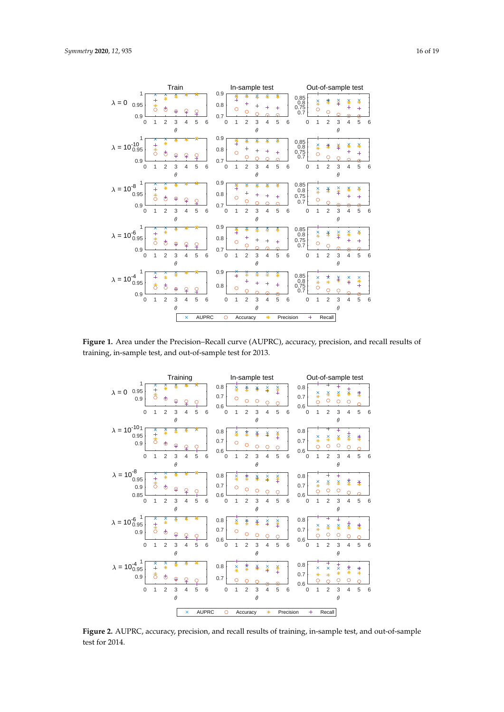

<span id="page-15-0"></span>

**Figure 1.** Area under the Precision–Recall curve (AUPRC), accuracy, precision, and recall results of training, in-sample test, and out-of-sample test for 2013.



**Figure 2.** AUPRC, accuracy, precision, and recall results of training, in-sample test, and out-of-sample test for 2014.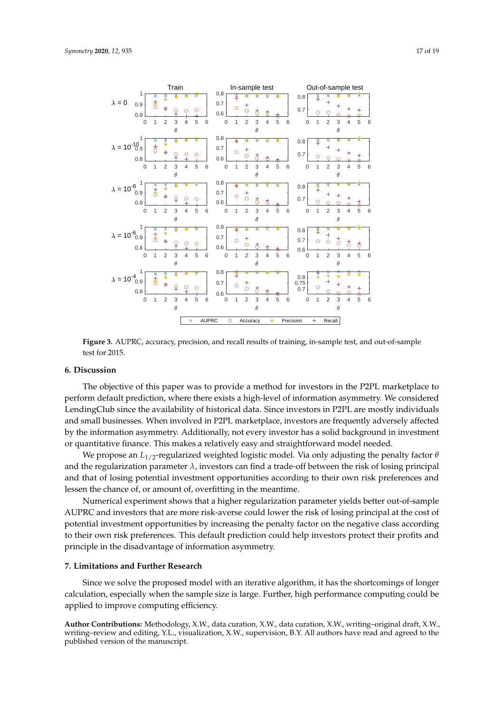<span id="page-16-1"></span>

Figure 3. AUPRC, accuracy, precision, and recall results of training, in-sample test, and out-of-sample test for 2015.

# <span id="page-16-0"></span>**6. Discussion**

The objective of this paper was to provide a method for investors in the P2PL marketplace to perform default prediction, where there exists a high-level of information asymmetry. We considered LendingClub since the availability of historical data. Since investors in P2PL are mostly individuals and small businesses. When involved in P2PL marketplace, investors are frequently adversely affected by the information asymmetry. Additionally, not every investor has a solid background in investment or quantitative finance. This makes a relatively easy and straightforward model needed.

We propose an  $L_{1/2}$ -regularized weighted logistic model. Via only adjusting the penalty factor  $\theta$ and the regularization parameter *λ*, investors can find a trade-off between the risk of losing principal and that of losing potential investment opportunities according to their own risk preferences and lessen the chance of, or amount of, overfitting in the meantime.

Numerical experiment shows that a higher regularization parameter yields better out-of-sample AUPRC and investors that are more risk-averse could lower the risk of losing principal at the cost of potential investment opportunities by increasing the penalty factor on the negative class according to their own risk preferences. This default prediction could help investors protect their profits and principle in the disadvantage of information asymmetry.

# **7. Limitations and Further Research**

Since we solve the proposed model with an iterative algorithm, it has the shortcomings of longer calculation, especially when the sample size is large. Further, high performance computing could be applied to improve computing efficiency.

**Author Contributions:** Methodology, X.W., data curation, X.W., data curation, X.W., writing–original draft, X.W., writing–review and editing, Y.L., visualization, X.W., supervision, B.Y. All authors have read and agreed to the published version of the manuscript.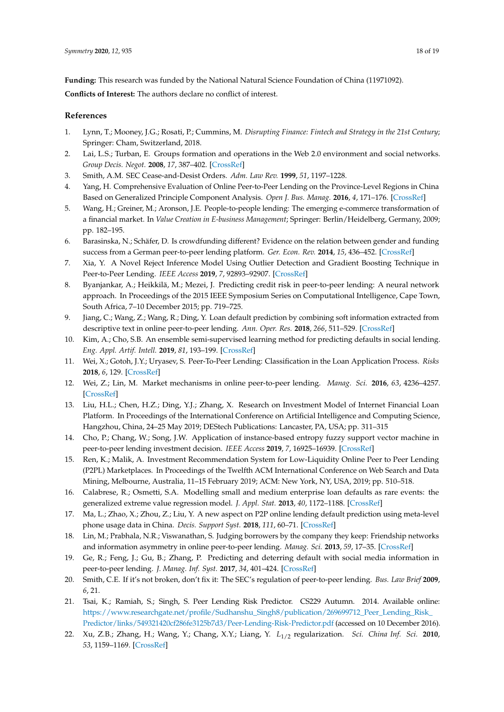**Funding:** This research was funded by the National Natural Science Foundation of China (11971092). **Conflicts of Interest:** The authors declare no conflict of interest.

# **References**

- <span id="page-17-0"></span>1. Lynn, T.; Mooney, J.G.; Rosati, P.; Cummins, M. *Disrupting Finance: Fintech and Strategy in the 21st Century*; Springer: Cham, Switzerland, 2018.
- <span id="page-17-1"></span>2. Lai, L.S.; Turban, E. Groups formation and operations in the Web 2.0 environment and social networks. *Group Decis. Negot.* **2008**, *17*, 387–402. [\[CrossRef\]](http://dx.doi.org/10.1007/s10726-008-9113-2)
- <span id="page-17-2"></span>3. Smith, A.M. SEC Cease-and-Desist Orders. *Adm. Law Rev.* **1999**, *51*, 1197–1228.
- <span id="page-17-3"></span>4. Yang, H. Comprehensive Evaluation of Online Peer-to-Peer Lending on the Province-Level Regions in China Based on Generalized Principle Component Analysis. *Open J. Bus. Manag.* **2016**, *4*, 171–176. [\[CrossRef\]](http://dx.doi.org/10.4236/ojbm.2016.42019)
- <span id="page-17-4"></span>5. Wang, H.; Greiner, M.; Aronson, J.E. People-to-people lending: The emerging e-commerce transformation of a financial market. In *Value Creation in E-business Management*; Springer: Berlin/Heidelberg, Germany, 2009; pp. 182–195.
- <span id="page-17-5"></span>6. Barasinska, N.; Schäfer, D. Is crowdfunding different? Evidence on the relation between gender and funding success from a German peer-to-peer lending platform. *Ger. Econ. Rev.* **2014**, *15*, 436–452. [\[CrossRef\]](http://dx.doi.org/10.1111/geer.12052)
- <span id="page-17-6"></span>7. Xia, Y. A Novel Reject Inference Model Using Outlier Detection and Gradient Boosting Technique in Peer-to-Peer Lending. *IEEE Access* **2019**, *7*, 92893–92907. [\[CrossRef\]](http://dx.doi.org/10.1109/ACCESS.2019.2927602)
- <span id="page-17-7"></span>8. Byanjankar, A.; Heikkilä, M.; Mezei, J. Predicting credit risk in peer-to-peer lending: A neural network approach. In Proceedings of the 2015 IEEE Symposium Series on Computational Intelligence, Cape Town, South Africa, 7–10 December 2015; pp. 719–725.
- <span id="page-17-8"></span>9. Jiang, C.; Wang, Z.; Wang, R.; Ding, Y. Loan default prediction by combining soft information extracted from descriptive text in online peer-to-peer lending. *Ann. Oper. Res.* **2018**, *266*, 511–529. [\[CrossRef\]](http://dx.doi.org/10.1007/s10479-017-2668-z)
- <span id="page-17-9"></span>10. Kim, A.; Cho, S.B. An ensemble semi-supervised learning method for predicting defaults in social lending. *Eng. Appl. Artif. Intell.* **2019**, *81*, 193–199. [\[CrossRef\]](http://dx.doi.org/10.1016/j.engappai.2019.02.014)
- <span id="page-17-10"></span>11. Wei, X.; Gotoh, J.Y.; Uryasev, S. Peer-To-Peer Lending: Classification in the Loan Application Process. *Risks* **2018**, *6*, 129. [\[CrossRef\]](http://dx.doi.org/10.3390/risks6040129)
- 12. Wei, Z.; Lin, M. Market mechanisms in online peer-to-peer lending. *Manag. Sci.* **2016**, *63*, 4236–4257. [\[CrossRef\]](http://dx.doi.org/10.1287/mnsc.2016.2531)
- 13. Liu, H.L.; Chen, H.Z.; Ding, Y.J.; Zhang, X. Research on Investment Model of Internet Financial Loan Platform. In Proceedings of the International Conference on Artificial Intelligence and Computing Science, Hangzhou, China, 24–25 May 2019; DEStech Publications: Lancaster, PA, USA; pp. 311–315
- 14. Cho, P.; Chang, W.; Song, J.W. Application of instance-based entropy fuzzy support vector machine in peer-to-peer lending investment decision. *IEEE Access* **2019**, *7*, 16925–16939. [\[CrossRef\]](http://dx.doi.org/10.1109/ACCESS.2019.2896474)
- <span id="page-17-11"></span>15. Ren, K.; Malik, A. Investment Recommendation System for Low-Liquidity Online Peer to Peer Lending (P2PL) Marketplaces. In Proceedings of the Twelfth ACM International Conference on Web Search and Data Mining, Melbourne, Australia, 11–15 February 2019; ACM: New York, NY, USA, 2019; pp. 510–518.
- <span id="page-17-12"></span>16. Calabrese, R.; Osmetti, S.A. Modelling small and medium enterprise loan defaults as rare events: the generalized extreme value regression model. *J. Appl. Stat.* **2013**, *40*, 1172–1188. [\[CrossRef\]](http://dx.doi.org/10.1080/02664763.2013.784894)
- <span id="page-17-13"></span>17. Ma, L.; Zhao, X.; Zhou, Z.; Liu, Y. A new aspect on P2P online lending default prediction using meta-level phone usage data in China. *Decis. Support Syst.* **2018**, *111*, 60–71. [\[CrossRef\]](http://dx.doi.org/10.1016/j.dss.2018.05.001)
- 18. Lin, M.; Prabhala, N.R.; Viswanathan, S. Judging borrowers by the company they keep: Friendship networks and information asymmetry in online peer-to-peer lending. *Manag. Sci.* **2013**, *59*, 17–35. [\[CrossRef\]](http://dx.doi.org/10.1287/mnsc.1120.1560)
- <span id="page-17-14"></span>19. Ge, R.; Feng, J.; Gu, B.; Zhang, P. Predicting and deterring default with social media information in peer-to-peer lending. *J. Manag. Inf. Syst.* **2017**, *34*, 401–424. [\[CrossRef\]](http://dx.doi.org/10.1080/07421222.2017.1334472)
- <span id="page-17-15"></span>20. Smith, C.E. If it's not broken, don't fix it: The SEC's regulation of peer-to-peer lending. *Bus. Law Brief* **2009**, *6*, 21.
- <span id="page-17-16"></span>21. Tsai, K.; Ramiah, S.; Singh, S. Peer Lending Risk Predictor. CS229 Autumn. 2014. Available online: [https://www.researchgate.net/profile/Sudhanshu\\_Singh8/publication/269699712\\_Peer\\_Lending\\_Risk\\_](https://www.researchgate.net/profile/Sudhanshu_Singh8/publication/269699712_Peer_Lending_Risk_Predictor/links/549321420cf286fe3125b7d3/Peer-Lending-Risk-Predictor.pdf) [Predictor/links/549321420cf286fe3125b7d3/Peer-Lending-Risk-Predictor.pdf](https://www.researchgate.net/profile/Sudhanshu_Singh8/publication/269699712_Peer_Lending_Risk_Predictor/links/549321420cf286fe3125b7d3/Peer-Lending-Risk-Predictor.pdf) (accessed on 10 December 2016).
- <span id="page-17-17"></span>22. Xu, Z.B.; Zhang, H.; Wang, Y.; Chang, X.Y.; Liang, Y. *L*1/2 regularization. *Sci. China Inf. Sci.* **2010**, *53*, 1159–1169. [\[CrossRef\]](http://dx.doi.org/10.1007/s11432-010-0090-0)